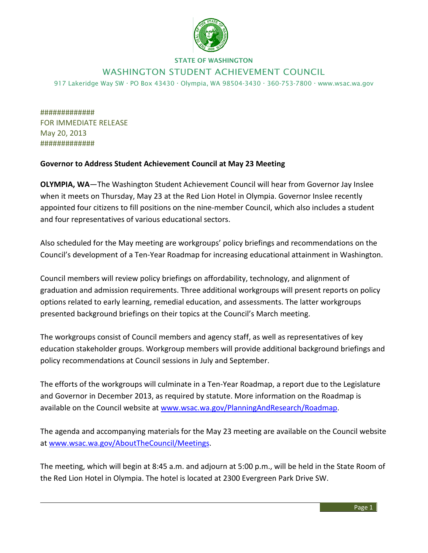

## STATE OF WASHINGTON

## WASHINGTON STUDENT ACHIEVEMENT COUNCIL

917 Lakeridge Way SW  $\cdot$  PO Box 43430  $\cdot$  Olympia, WA 98504-3430  $\cdot$  360-753-7800  $\cdot$  www.wsac.wa.gov

############# FOR IMMEDIATE RELEASE May 20, 2013 #############

## **Governor to Address Student Achievement Council at May 23 Meeting**

**OLYMPIA, WA**—The Washington Student Achievement Council will hear from Governor Jay Inslee when it meets on Thursday, May 23 at the Red Lion Hotel in Olympia. Governor Inslee recently appointed four citizens to fill positions on the nine-member Council, which also includes a student and four representatives of various educational sectors.

Also scheduled for the May meeting are workgroups' policy briefings and recommendations on the Council's development of a Ten-Year Roadmap for increasing educational attainment in Washington.

Council members will review policy briefings on affordability, technology, and alignment of graduation and admission requirements. Three additional workgroups will present reports on policy options related to early learning, remedial education, and assessments. The latter workgroups presented background briefings on their topics at the Council's March meeting.

The workgroups consist of Council members and agency staff, as well as representatives of key education stakeholder groups. Workgroup members will provide additional background briefings and policy recommendations at Council sessions in July and September.

The efforts of the workgroups will culminate in a Ten-Year Roadmap, a report due to the Legislature and Governor in December 2013, as required by statute. More information on the Roadmap is available on the Council website at [www.wsac.wa.gov/PlanningAndResearch/Roadmap.](http://www.wsac.wa.gov/PlanningAndResearch/Roadmap)

The agenda and accompanying materials for the May 23 meeting are available on the Council website at [www.wsac.wa.gov/AboutTheCouncil/Meetings.](http://www.wsac.wa.gov/AboutTheCouncil/Meetings)

The meeting, which will begin at 8:45 a.m. and adjourn at 5:00 p.m., will be held in the State Room of the Red Lion Hotel in Olympia. The hotel is located at 2300 Evergreen Park Drive SW.